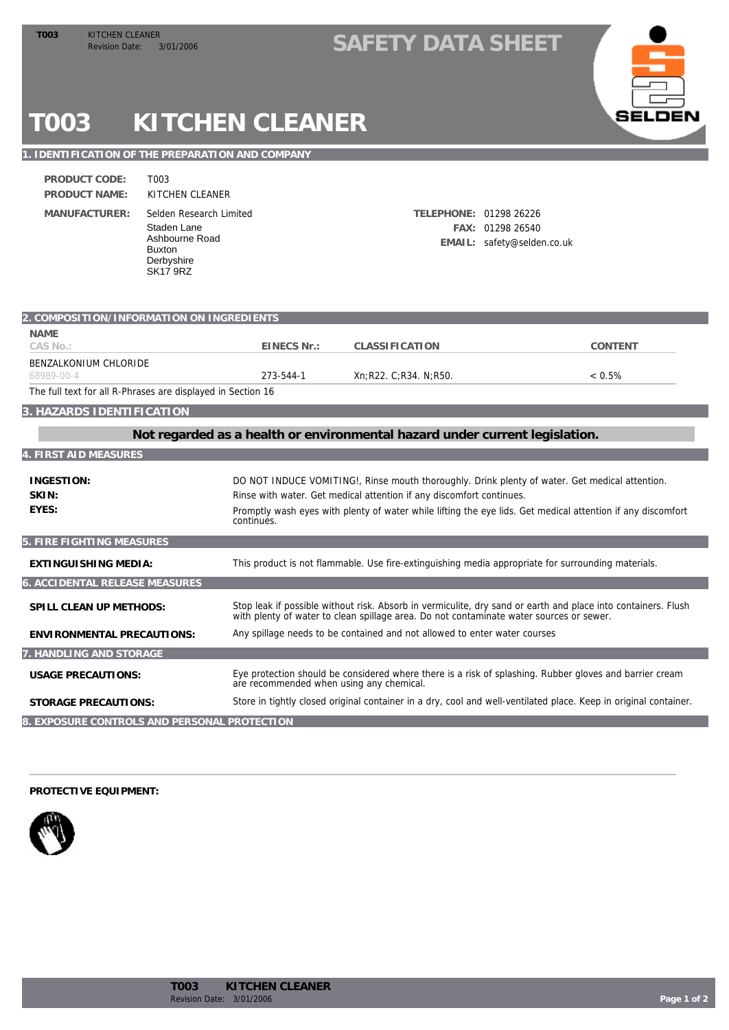## TOO3 KITCHEN CLEANER<br>Revision Date: 3/01/2006 **SAFETY DATA SHEET**



# **T003 KITCHEN CLEANER**

#### **1. IDENTIFICATION OF THE PREPARATION AND COMPANY**

T003

**PRODUCT NAME: MANUFACTURER: PRODUCT CODE:**

KITCHEN CLEANER Staden Lane Ashbourne Road Buxton Derbyshire SK17 9RZ Selden Research Limited **TELEPHONE:** 01298 26226

**FAX:** 01298 26540 **EMAIL:** safety@selden.co.uk

| 2. COMPOSITION/INFORMATION ON INGREDIENTS                                   |                                          |                                                                                                                                                                                                          |           |  |
|-----------------------------------------------------------------------------|------------------------------------------|----------------------------------------------------------------------------------------------------------------------------------------------------------------------------------------------------------|-----------|--|
| <b>NAME</b>                                                                 |                                          |                                                                                                                                                                                                          |           |  |
| CAS No.:                                                                    | EINECS Nr.:                              | CLASSIFICATION                                                                                                                                                                                           | CONTENT   |  |
| BENZALKONIUM CHLORIDE                                                       |                                          |                                                                                                                                                                                                          |           |  |
| 68989-00-4                                                                  | 273-544-1                                | Xn:R22. C:R34. N:R50.                                                                                                                                                                                    | $< 0.5\%$ |  |
| The full text for all R-Phrases are displayed in Section 16                 |                                          |                                                                                                                                                                                                          |           |  |
| 3. HAZARDS IDENTIFICATION                                                   |                                          |                                                                                                                                                                                                          |           |  |
| Not regarded as a health or environmental hazard under current legislation. |                                          |                                                                                                                                                                                                          |           |  |
| <b>4. FIRST AID MEASURES</b>                                                |                                          |                                                                                                                                                                                                          |           |  |
| <b>INGESTION:</b>                                                           |                                          | DO NOT INDUCE VOMITING!, Rinse mouth thoroughly. Drink plenty of water. Get medical attention.                                                                                                           |           |  |
| SKIN:                                                                       |                                          | Rinse with water. Get medical attention if any discomfort continues.                                                                                                                                     |           |  |
| EYES:                                                                       | continues.                               | Promptly wash eyes with plenty of water while lifting the eye lids. Get medical attention if any discomfort                                                                                              |           |  |
| 5. FIRE FIGHTING MEASURES                                                   |                                          |                                                                                                                                                                                                          |           |  |
| EXTINGUISHING MEDIA:                                                        |                                          | This product is not flammable. Use fire-extinguishing media appropriate for surrounding materials.                                                                                                       |           |  |
| 6. ACCIDENTAL RELEASE MEASURES                                              |                                          |                                                                                                                                                                                                          |           |  |
| SPILL CLEAN UP METHODS:                                                     |                                          | Stop leak if possible without risk. Absorb in vermiculite, dry sand or earth and place into containers. Flush<br>with plenty of water to clean spillage area. Do not contaminate water sources or sewer. |           |  |
| <b>ENVIRONMENTAL PRECAUTIONS:</b>                                           |                                          | Any spillage needs to be contained and not allowed to enter water courses                                                                                                                                |           |  |
| 7. HANDLING AND STORAGE                                                     |                                          |                                                                                                                                                                                                          |           |  |
| <b>USAGE PRECAUTIONS:</b>                                                   | are recommended when using any chemical. | Eye protection should be considered where there is a risk of splashing. Rubber gloves and barrier cream                                                                                                  |           |  |
| <b>STORAGE PRECAUTIONS:</b>                                                 |                                          | Store in tightly closed original container in a dry, cool and well-ventilated place. Keep in original container.                                                                                         |           |  |
| 8. EXPOSURE CONTROLS AND PERSONAL PROTECTION                                |                                          |                                                                                                                                                                                                          |           |  |

#### **PROTECTIVE EQUIPMENT:**